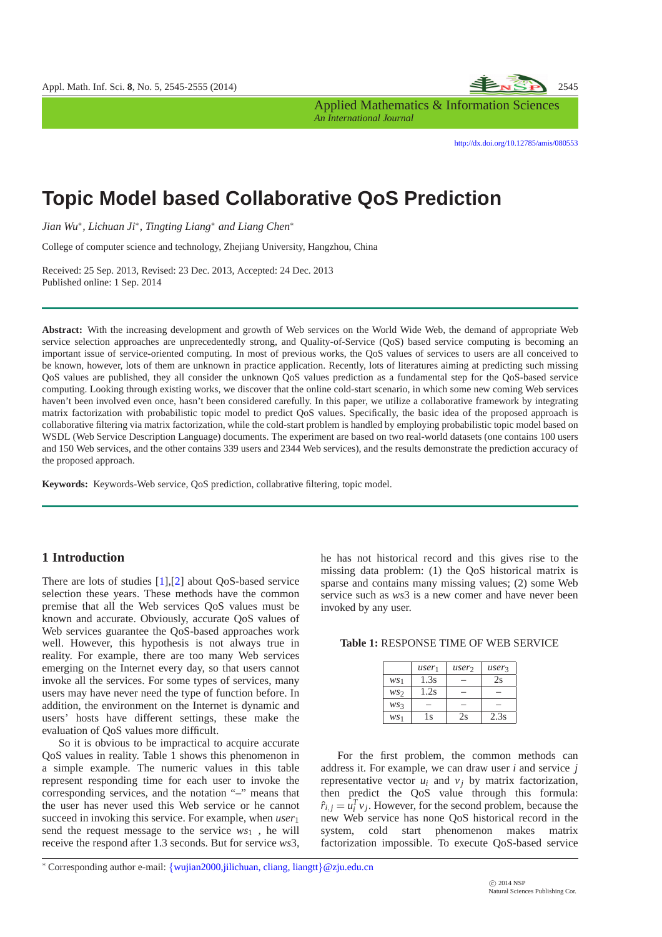

Applied Mathematics & Information Sciences *An International Journal*

<http://dx.doi.org/10.12785/amis/080553>

# **Topic Model based Collaborative QoS Prediction**

*Jian Wu*<sup>∗</sup> *, Lichuan Ji*<sup>∗</sup> *, Tingting Liang*<sup>∗</sup> *and Liang Chen*<sup>∗</sup>

College of computer science and technology, Zhejiang University, Hangzhou, China

Received: 25 Sep. 2013, Revised: 23 Dec. 2013, Accepted: 24 Dec. 2013 Published online: 1 Sep. 2014

**Abstract:** With the increasing development and growth of Web services on the World Wide Web, the demand of appropriate Web service selection approaches are unprecedentedly strong, and Quality-of-Service (QoS) based service computing is becoming an important issue of service-oriented computing. In most of previous works, the QoS values of services to users are all conceived to be known, however, lots of them are unknown in practice application. Recently, lots of literatures aiming at predicting such missing QoS values are published, they all consider the unknown QoS values prediction as a fundamental step for the QoS-based service computing. Looking through existing works, we discover that the online cold-start scenario, in which some new coming Web services haven't been involved even once, hasn't been considered carefully. In this paper, we utilize a collaborative framework by integrating matrix factorization with probabilistic topic model to predict QoS values. Specifically, the basic idea of the proposed approach is collaborative filtering via matrix factorization, while the cold-start problem is handled by employing probabilistic topic model based on WSDL (Web Service Description Language) documents. The experiment are based on two real-world datasets (one contains 100 users and 150 Web services, and the other contains 339 users and 2344 Web services), and the results demonstrate the prediction accuracy of the proposed approach.

**Keywords:** Keywords-Web service, QoS prediction, collabrative filtering, topic model.

# **1 Introduction**

There are lots of studies [\[1\]](#page-9-0),[\[2\]](#page-9-1) about QoS-based service selection these years. These methods have the common premise that all the Web services QoS values must be known and accurate. Obviously, accurate QoS values of Web services guarantee the QoS-based approaches work well. However, this hypothesis is not always true in reality. For example, there are too many Web services emerging on the Internet every day, so that users cannot invoke all the services. For some types of services, many users may have never need the type of function before. In addition, the environment on the Internet is dynamic and users' hosts have different settings, these make the evaluation of QoS values more difficult.

So it is obvious to be impractical to acquire accurate QoS values in reality. Table 1 shows this phenomenon in a simple example. The numeric values in this table represent responding time for each user to invoke the corresponding services, and the notation "–" means that the user has never used this Web service or he cannot succeed in invoking this service. For example, when *user*<sup>1</sup> send the request message to the service *ws*<sup>1</sup> , he will receive the respond after 1.3 seconds. But for service *ws*3,

he has not historical record and this gives rise to the missing data problem: (1) the QoS historical matrix is sparse and contains many missing values; (2) some Web service such as *ws*3 is a new comer and have never been invoked by any user.

**Table 1:** RESPONSE TIME OF WEB SERVICE

|        | user <sub>1</sub> | user | userz |
|--------|-------------------|------|-------|
| $WS_1$ | 1.3s              |      | 2s    |
| WS2    | 1.2s              |      |       |
| WS3    |                   |      |       |
| $WS_1$ | l s               | 2s   | 2.3s  |

For the first problem, the common methods can address it. For example, we can draw user *i* and service *j* representative vector  $u_i$  and  $v_j$  by matrix factorization, then predict the QoS value through this formula:  $\hat{r}_{i,j} = \hat{u}_i^T v_j$ . However, for the second problem, because the new Web service has none QoS historical record in the system, cold start phenomenon makes matrix factorization impossible. To execute QoS-based service

<sup>∗</sup> Corresponding author e-mail: {wujian2000,jilichuan, cliang, liangtt}@zju.edu.cn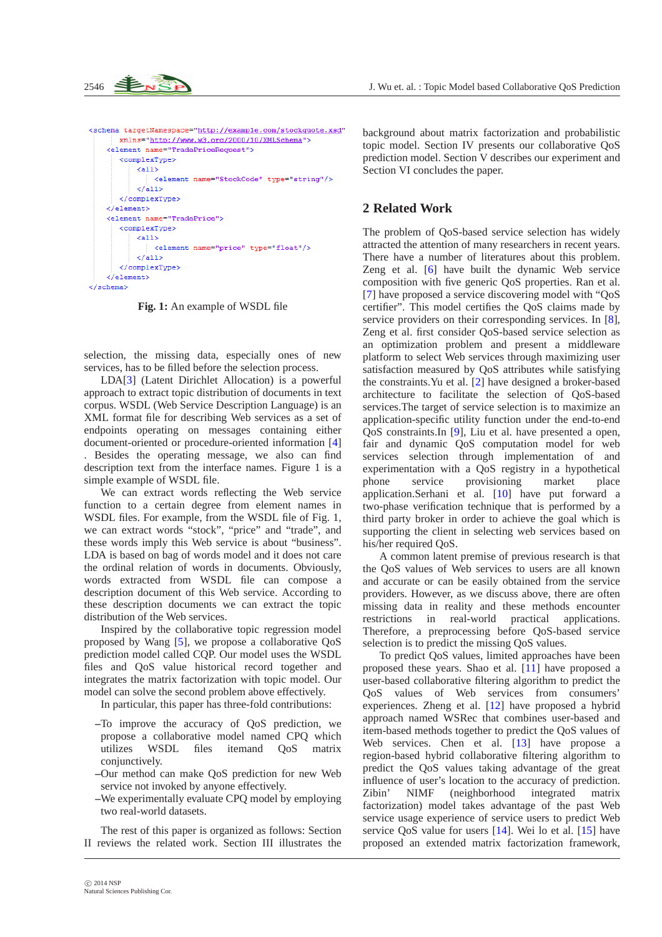

```
<schema targetNamespace="http://example.com/stockquote.xsd"
       xmlns="http://www.w3.org/2000/10/XMLSchema">
    <element name="TradePriceRequest">
       <complexType>
            \leqa115
                <element name="StockCode" type="string"/>
            \langle/all>
       </complexTvpe>
    \langle/element>
    <element name="TradePrice">
        <complexType>
            \langleall>
                <element name="price" type="float"/>
            \langle/all>
       \ell/complexType>
    \langle/element>
\sqrt{4\pihema\sqrt{2}
```
**Fig. 1:** An example of WSDL file

selection, the missing data, especially ones of new services, has to be filled before the selection process.

LDA[\[3\]](#page-9-2) (Latent Dirichlet Allocation) is a powerful approach to extract topic distribution of documents in text corpus. WSDL (Web Service Description Language) is an XML format file for describing Web services as a set of endpoints operating on messages containing either document-oriented or procedure-oriented information [\[4\]](#page-9-3) . Besides the operating message, we also can find description text from the interface names. Figure 1 is a simple example of WSDL file.

We can extract words reflecting the Web service function to a certain degree from element names in WSDL files. For example, from the WSDL file of Fig. 1, we can extract words "stock", "price" and "trade", and these words imply this Web service is about "business". LDA is based on bag of words model and it does not care the ordinal relation of words in documents. Obviously, words extracted from WSDL file can compose a description document of this Web service. According to these description documents we can extract the topic distribution of the Web services.

Inspired by the collaborative topic regression model proposed by Wang [\[5\]](#page-9-4), we propose a collaborative QoS prediction model called CQP. Our model uses the WSDL files and QoS value historical record together and integrates the matrix factorization with topic model. Our model can solve the second problem above effectively.

In particular, this paper has three-fold contributions:

- **–**To improve the accuracy of QoS prediction, we propose a collaborative model named CPQ which utilizes WSDL files itemand QoS matrix conjunctively.
- **–**Our method can make QoS prediction for new Web service not invoked by anyone effectively.
- **–**We experimentally evaluate CPQ model by employing two real-world datasets.

The rest of this paper is organized as follows: Section II reviews the related work. Section III illustrates the background about matrix factorization and probabilistic topic model. Section IV presents our collaborative QoS prediction model. Section V describes our experiment and Section VI concludes the paper.

# **2 Related Work**

The problem of QoS-based service selection has widely attracted the attention of many researchers in recent years. There have a number of literatures about this problem. Zeng et al. [\[6\]](#page-9-5) have built the dynamic Web service composition with five generic QoS properties. Ran et al. [\[7\]](#page-9-6) have proposed a service discovering model with "QoS certifier". This model certifies the QoS claims made by service providers on their corresponding services. In [\[8\]](#page-9-7), Zeng et al. first consider QoS-based service selection as an optimization problem and present a middleware platform to select Web services through maximizing user satisfaction measured by QoS attributes while satisfying the constraints.Yu et al. [\[2\]](#page-9-1) have designed a broker-based architecture to facilitate the selection of QoS-based services.The target of service selection is to maximize an application-specific utility function under the end-to-end QoS constraints.In [\[9\]](#page-9-8), Liu et al. have presented a open, fair and dynamic QoS computation model for web services selection through implementation of and experimentation with a QoS registry in a hypothetical phone service provisioning market place application.Serhani et al. [\[10\]](#page-9-9) have put forward a two-phase verification technique that is performed by a third party broker in order to achieve the goal which is supporting the client in selecting web services based on his/her required OoS.

A common latent premise of previous research is that the QoS values of Web services to users are all known and accurate or can be easily obtained from the service providers. However, as we discuss above, there are often missing data in reality and these methods encounter restrictions in real-world practical applications. Therefore, a preprocessing before QoS-based service selection is to predict the missing QoS values.

To predict QoS values, limited approaches have been proposed these years. Shao et al. [\[11\]](#page-9-10) have proposed a user-based collaborative filtering algorithm to predict the QoS values of Web services from consumers' experiences. Zheng et al. [\[12\]](#page-9-11) have proposed a hybrid approach named WSRec that combines user-based and item-based methods together to predict the QoS values of Web services. Chen et al. [\[13\]](#page-9-12) have propose a region-based hybrid collaborative filtering algorithm to predict the QoS values taking advantage of the great influence of user's location to the accuracy of prediction. Zibin' NIMF (neighborhood integrated matrix factorization) model takes advantage of the past Web service usage experience of service users to predict Web service QoS value for users [\[14\]](#page-9-13). Wei lo et al. [\[15\]](#page-9-14) have proposed an extended matrix factorization framework,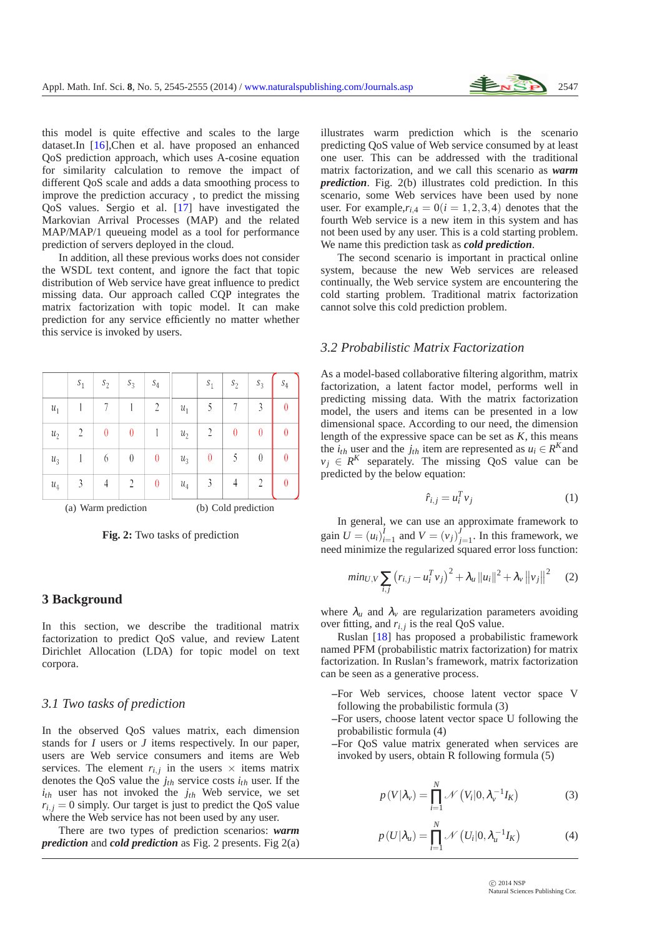

this model is quite effective and scales to the large dataset.In [\[16\]](#page-9-15),Chen et al. have proposed an enhanced QoS prediction approach, which uses A-cosine equation for similarity calculation to remove the impact of different QoS scale and adds a data smoothing process to improve the prediction accuracy , to predict the missing QoS values. Sergio et al. [\[17\]](#page-9-16) have investigated the Markovian Arrival Processes (MAP) and the related MAP/MAP/1 queueing model as a tool for performance prediction of servers deployed in the cloud.

In addition, all these previous works does not consider the WSDL text content, and ignore the fact that topic distribution of Web service have great influence to predict missing data. Our approach called CQP integrates the matrix factorization with topic model. It can make prediction for any service efficiently no matter whether this service is invoked by users.

|                | $S_1$                   | $S_2$           | $S_3$            | $\mathfrak{S}_4$ |       | $S_1$            | $S_2$            | $S_3$                   | $S_4$            |
|----------------|-------------------------|-----------------|------------------|------------------|-------|------------------|------------------|-------------------------|------------------|
| $u_1$          |                         | 7 <sup>7</sup>  | $\sim 1$ .       | $-2$             | $u_1$ | 5 <sup>1</sup>   | 7 <sup>7</sup>   | $\overline{\mathbf{3}}$ | $\theta$         |
| u <sub>2</sub> | 2 <sup>1</sup>          | $\theta$        | $\theta$         |                  | $u_2$ | $\sim$ 2         | $\boldsymbol{0}$ | $\boldsymbol{0}$        | 0                |
| $u_3$          | $\mathbf{I}$            | $6\phantom{.}6$ | $\boldsymbol{0}$ | $\boldsymbol{0}$ | $u_3$ | $\boldsymbol{0}$ | 5                | $\boldsymbol{0}$        | $\boldsymbol{0}$ |
| $u_4$          | $\overline{\mathbf{3}}$ | $\overline{4}$  | <sup>2</sup>     | $\boldsymbol{0}$ | $u_4$ | $\mathfrak{Z}$   |                  | $\overline{2}$          |                  |

(a) Warm prediction (b) Cold prediction

**Fig. 2:** Two tasks of prediction

#### **3 Background**

In this section, we describe the traditional matrix factorization to predict QoS value, and review Latent Dirichlet Allocation (LDA) for topic model on text corpora.

## *3.1 Two tasks of prediction*

In the observed QoS values matrix, each dimension stands for *I* users or *J* items respectively. In our paper, users are Web service consumers and items are Web services. The element  $r_{i,j}$  in the users  $\times$  items matrix denotes the QoS value the  $j_{th}$  service costs  $i_{th}$  user. If the  $i_{th}$  user has not invoked the  $j_{th}$  Web service, we set  $r_{i,j} = 0$  simply. Our target is just to predict the QoS value where the Web service has not been used by any user.

There are two types of prediction scenarios: *warm prediction* and *cold prediction* as Fig. 2 presents. Fig 2(a) illustrates warm prediction which is the scenario predicting QoS value of Web service consumed by at least one user. This can be addressed with the traditional matrix factorization, and we call this scenario as *warm prediction*. Fig. 2(b) illustrates cold prediction. In this scenario, some Web services have been used by none user. For example, $r_{i,4} = 0(i = 1,2,3,4)$  denotes that the fourth Web service is a new item in this system and has not been used by any user. This is a cold starting problem. We name this prediction task as *cold prediction*.

The second scenario is important in practical online system, because the new Web services are released continually, the Web service system are encountering the cold starting problem. Traditional matrix factorization cannot solve this cold prediction problem.

## *3.2 Probabilistic Matrix Factorization*

As a model-based collaborative filtering algorithm, matrix factorization, a latent factor model, performs well in predicting missing data. With the matrix factorization model, the users and items can be presented in a low dimensional space. According to our need, the dimension length of the expressive space can be set as *K*, this means the  $i_{th}$  user and the  $j_{th}$  item are represented as  $u_i \in R^K$  and  $v_j \in R^K$  separately. The missing QoS value can be predicted by the below equation:

$$
\hat{r}_{i,j} = u_i^T v_j \tag{1}
$$

In general, we can use an approximate framework to gain  $U = (u_i)_{i=1}^I$  and  $V = (v_j)_{j=1}^J$  $j_{=1}$ . In this framework, we need minimize the regularized squared error loss function:

$$
min_{U,V} \sum_{i,j} (r_{i,j} - u_i^T v_j)^2 + \lambda_u ||u_i||^2 + \lambda_v ||v_j||^2 \qquad (2)
$$

where  $\lambda_u$  and  $\lambda_v$  are regularization parameters avoiding over fitting, and  $r_{i,j}$  is the real QoS value.

Ruslan [\[18\]](#page-9-17) has proposed a probabilistic framework named PFM (probabilistic matrix factorization) for matrix factorization. In Ruslan's framework, matrix factorization can be seen as a generative process.

- **–**For Web services, choose latent vector space V following the probabilistic formula (3)
- **–**For users, choose latent vector space U following the probabilistic formula (4)
- **–**For QoS value matrix generated when services are invoked by users, obtain R following formula (5)

$$
p(V|\lambda_v) = \prod_{i=1}^{N} \mathcal{N}(V_i|0, \lambda_v^{-1} I_K)
$$
 (3)

$$
p(U|\lambda_u) = \prod_{i=1}^{N} \mathcal{N}(U_i|0, \lambda_u^{-1} I_K)
$$
 (4)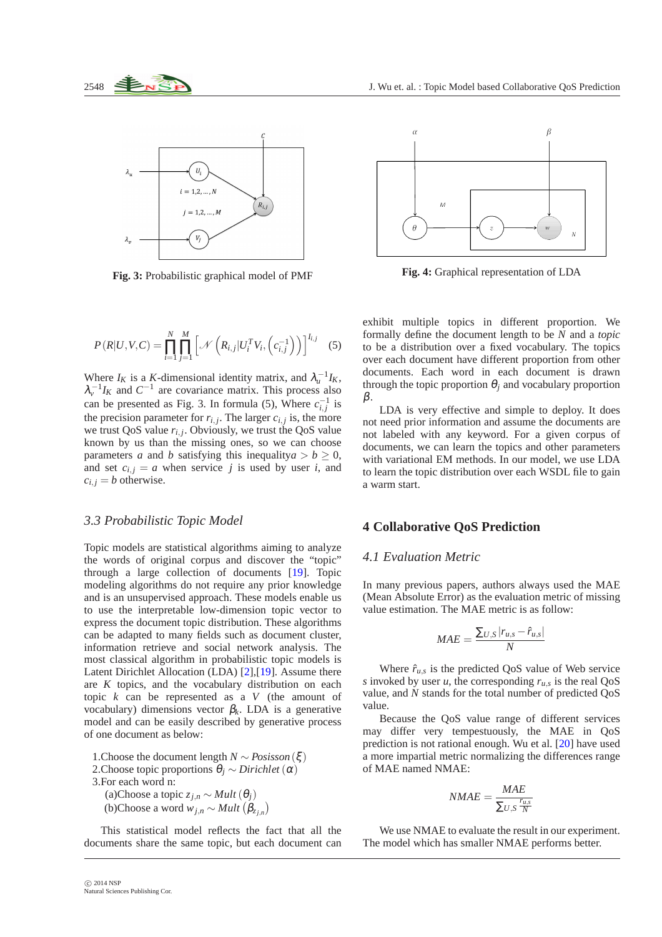

**Fig. 3:** Probabilistic graphical model of PMF

$$
P(R|U, V, C) = \prod_{i=1}^{N} \prod_{j=1}^{M} \left[ \mathcal{N}\left(R_{i,j} | U_i^T V_i, \left(c_{i,j}^{-1}\right)\right) \right]^{I_{i,j}} \quad (5)
$$

Where  $I_K$  is a K-dimensional identity matrix, and  $\lambda_u^{-1}I_K$ ,  $\lambda_v^{-1} I_K$  and  $C^{-1}$  are covariance matrix. This process also can be presented as Fig. 3. In formula (5), Where  $c_{i,j}^{-1}$  is the precision parameter for  $r_{i,j}$ . The larger  $c_{i,j}$  is, the more we trust QoS value  $r_{i,j}$ . Obviously, we trust the QoS value known by us than the missing ones, so we can choose parameters *a* and *b* satisfying this inequality $a > b \geq 0$ , and set  $c_{i,j} = a$  when service *j* is used by user *i*, and  $c_{i,j} = b$  otherwise.

#### *3.3 Probabilistic Topic Model*

Topic models are statistical algorithms aiming to analyze the words of original corpus and discover the "topic" through a large collection of documents [\[19\]](#page-9-18). Topic modeling algorithms do not require any prior knowledge and is an unsupervised approach. These models enable us to use the interpretable low-dimension topic vector to express the document topic distribution. These algorithms can be adapted to many fields such as document cluster, information retrieve and social network analysis. The most classical algorithm in probabilistic topic models is Latent Dirichlet Allocation (LDA) [\[2\]](#page-9-1),[\[19\]](#page-9-18). Assume there are *K* topics, and the vocabulary distribution on each topic *k* can be represented as a *V* (the amount of vocabulary) dimensions vector β*<sup>k</sup>* . LDA is a generative model and can be easily described by generative process of one document as below:

1.Choose the document length *N* ∼ *Posisson*(ξ )

2. Choose topic proportions 
$$
\theta_j \sim Dirichlet(\alpha)
$$

3.For each word n:

- (a)Choose a topic  $z_{j,n}$  ∼ *Mult*  $(θ_j)$
- (b)Choose a word  $w_{j,n} \sim Mult(\beta_{z_{j,n}})$

This statistical model reflects the fact that all the documents share the same topic, but each document can



**Fig. 4:** Graphical representation of LDA

exhibit multiple topics in different proportion. We formally define the document length to be *N* and a *topic* to be a distribution over a fixed vocabulary. The topics over each document have different proportion from other documents. Each word in each document is drawn through the topic proportion  $\theta_i$  and vocabulary proportion  $\beta$ .

LDA is very effective and simple to deploy. It does not need prior information and assume the documents are not labeled with any keyword. For a given corpus of documents, we can learn the topics and other parameters with variational EM methods. In our model, we use LDA to learn the topic distribution over each WSDL file to gain a warm start.

#### **4 Collaborative QoS Prediction**

## *4.1 Evaluation Metric*

In many previous papers, authors always used the MAE (Mean Absolute Error) as the evaluation metric of missing value estimation. The MAE metric is as follow:

$$
MAE = \frac{\sum_{U,S} |r_{u,s} - \hat{r}_{u,s}|}{N}
$$

Where  $\hat{r}_{u,s}$  is the predicted QoS value of Web service *s* invoked by user *u*, the corresponding  $r_{u,s}$  is the real QoS value, and *N* stands for the total number of predicted QoS value.

Because the QoS value range of different services may differ very tempestuously, the MAE in QoS prediction is not rational enough. Wu et al. [\[20\]](#page-9-19) have used a more impartial metric normalizing the differences range of MAE named NMAE:

$$
NMAE = \frac{MAE}{\sum_{U,S} \frac{r_{u,s}}{N}}
$$

We use NMAE to evaluate the result in our experiment. The model which has smaller NMAE performs better.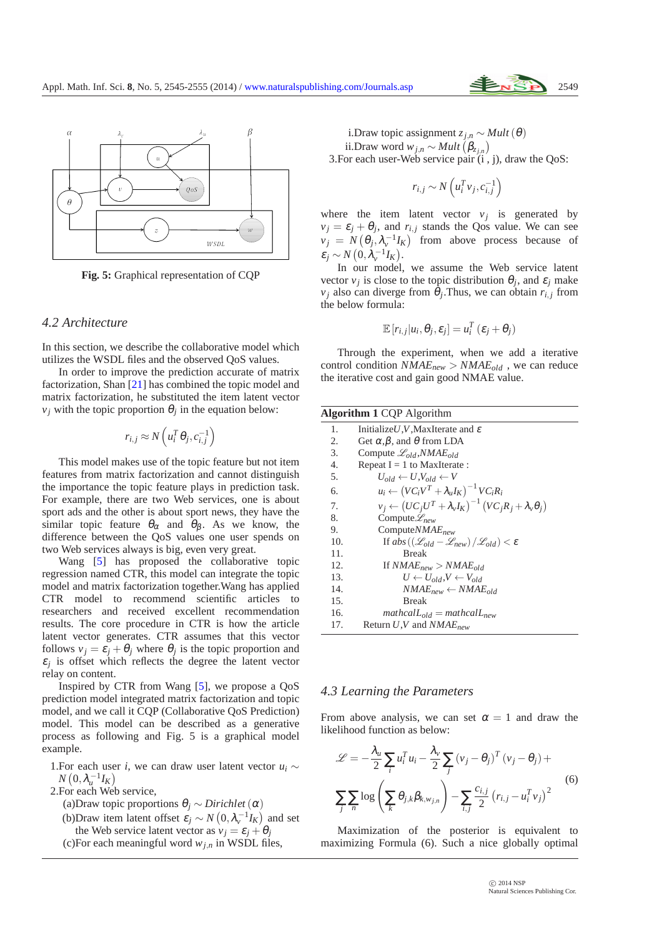

**Fig. 5:** Graphical representation of CQP

#### *4.2 Architecture*

In this section, we describe the collaborative model which utilizes the WSDL files and the observed QoS values.

In order to improve the prediction accurate of matrix factorization, Shan [\[21\]](#page-9-20) has combined the topic model and matrix factorization, he substituted the item latent vector  $v_j$  with the topic proportion  $\theta_j$  in the equation below:

$$
r_{i,j} \approx N\left(u_i^T \theta_j, c_{i,j}^{-1}\right)
$$

This model makes use of the topic feature but not item features from matrix factorization and cannot distinguish the importance the topic feature plays in prediction task. For example, there are two Web services, one is about sport ads and the other is about sport news, they have the similar topic feature  $\theta_{\alpha}$  and  $\theta_{\beta}$ . As we know, the difference between the QoS values one user spends on two Web services always is big, even very great.

Wang [\[5\]](#page-9-4) has proposed the collaborative topic regression named CTR, this model can integrate the topic model and matrix factorization together.Wang has applied CTR model to recommend scientific articles to researchers and received excellent recommendation results. The core procedure in CTR is how the article latent vector generates. CTR assumes that this vector follows  $v_j = \varepsilon_j + \theta_j$  where  $\theta_j$  is the topic proportion and  $\varepsilon_j$  is offset which reflects the degree the latent vector relay on content.

Inspired by CTR from Wang [\[5\]](#page-9-4), we propose a QoS prediction model integrated matrix factorization and topic model, and we call it CQP (Collaborative QoS Prediction) model. This model can be described as a generative process as following and Fig. 5 is a graphical model example.

1.For each user *i*, we can draw user latent vector  $u_i \sim$  $N\left(0, \lambda_u^{-1} I_K\right)$ 

2.For each Web service,

- (a)Draw topic proportions  $θ<sub>j</sub> ∼ Dirichlet(α)$
- (b)Draw item latent offset  $\varepsilon_j \sim N(0, \lambda_v^{-1} I_K)$  and set the Web service latent vector as  $v_j = \varepsilon_j + \theta_j$

(c)For each meaningful word  $w_{j,n}$  in WSDL files,

i.Draw topic assignment  $z_{j,n} \sim Mult(\theta)$ ii.Draw word  $w_{j,n} \sim Mult(\beta_{z_{j,n}})$ 

3.For each user-Web service pair (i , j), draw the QoS:

$$
r_{i,j} \sim N\left(u_i^T v_j, c_{i,j}^{-1}\right)
$$

where the item latent vector  $v_j$  is generated by  $v_j = \varepsilon_j + \theta_j$ , and  $r_{i,j}$  stands the Qos value. We can see  $v_j = N(\theta_j, \lambda_v^{-1} I_K)$  from above process because of  $\varepsilon_j \sim N\left(0, \lambda_{\scriptscriptstyle V}^{-1} I_K\right).$ 

In our model, we assume the Web service latent vector  $v_j$  is close to the topic distribution  $\theta_j$ , and  $\varepsilon_j$  make  $v_j$  also can diverge from  $\theta_j$ . Thus, we can obtain  $r_{i,j}$  from the below formula:

$$
\mathbb{E}\left[r_{i,j}|u_i,\theta_j,\varepsilon_j\right]=u_i^T\left(\varepsilon_j+\theta_j\right)
$$

Through the experiment, when we add a iterative control condition *NMAEnew* > *NMAEold* , we can reduce the iterative cost and gain good NMAE value.

| <b>Algorithm 1 CQP Algorithm</b> |  |  |
|----------------------------------|--|--|
|                                  |  |  |

| 1.  | Initialize <i>U</i> , <i>V</i> , Max Iterate and $\varepsilon$                       |
|-----|--------------------------------------------------------------------------------------|
| 2.  | Get $\alpha, \beta$ , and $\theta$ from LDA                                          |
| 3.  | Compute $\mathcal{L}_{old}$ , NMAE <sub>old</sub>                                    |
| 4.  | Repeat $I = 1$ to MaxIterate :                                                       |
| 5.  | $U_{old} \leftarrow U, V_{old} \leftarrow V$                                         |
| 6.  | $u_i \leftarrow (VC_iV^T + \lambda_uI_K)^{-1}VC_iR_i$                                |
| 7.  | $v_i \leftarrow (UC_jU^T + \lambda_v I_K)^{-1} (VC_jR_j + \lambda_v \theta_i)$       |
| 8.  | Compute $\mathscr{L}_{new}$                                                          |
| 9.  | Compute $NMAE_{new}$                                                                 |
| 10. | If abs $((\mathcal{L}_{old} - \mathcal{L}_{new}) / \mathcal{L}_{old}) < \varepsilon$ |
| 11. | <b>Break</b>                                                                         |
| 12. | If $NMAE_{new} > NMAE_{old}$                                                         |
| 13. | $U \leftarrow U_{old}$ , $V \leftarrow V_{old}$                                      |
| 14. | $NMAE_{new} \leftarrow NMAE_{old}$                                                   |
| 15. | <b>Break</b>                                                                         |
| 16. | $mathcal{L}_{old} = \text{mathcal{L}}_{new}$                                         |
| 17. | Return U,V and $NMAE_{new}$                                                          |

#### *4.3 Learning the Parameters*

From above analysis, we can set  $\alpha = 1$  and draw the likelihood function as below:

$$
\mathcal{L} = -\frac{\lambda_u}{2} \sum_i u_i^T u_i - \frac{\lambda_v}{2} \sum_j (v_j - \theta_j)^T (v_j - \theta_j) +
$$
  

$$
\sum_j \sum_n \log \left( \sum_k \theta_{j,k} \beta_{k,w_{j,n}} \right) - \sum_{i,j} \frac{c_{i,j}}{2} (r_{i,j} - u_i^T v_j)^2
$$
 (6)

Maximization of the posterior is equivalent to maximizing Formula (6). Such a nice globally optimal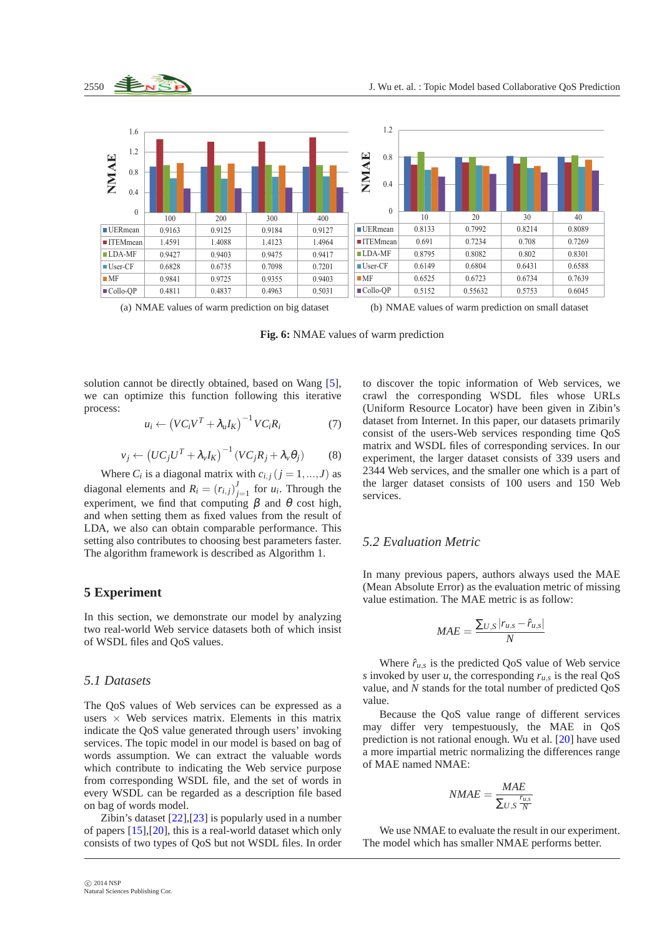<span id="page-5-0"></span>

(a) NMAE values of warm prediction on big dataset

(b) NMAE values of warm prediction on small dataset

**Fig. 6:** NMAE values of warm prediction

solution cannot be directly obtained, based on Wang [\[5\]](#page-9-4), we can optimize this function following this iterative process:

$$
u_i \leftarrow \left( VC_i V^T + \lambda_u I_K\right)^{-1} VC_i R_i \tag{7}
$$

$$
v_j \leftarrow \left( UC_jU^T + \lambda_v I_K\right)^{-1} \left( VC_j R_j + \lambda_v \theta_j\right) \tag{8}
$$

Where  $C_i$  is a diagonal matrix with  $c_{i,j}$  ( $j = 1,...,J$ ) as diagonal elements and  $R_i = (r_{i,j})^J_i$  $\int_{i=1}^{I}$  for  $u_i$ . Through the experiment, we find that computing  $\beta$  and  $\theta$  cost high, and when setting them as fixed values from the result of LDA, we also can obtain comparable performance. This setting also contributes to choosing best parameters faster. The algorithm framework is described as Algorithm 1.

## **5 Experiment**

In this section, we demonstrate our model by analyzing two real-world Web service datasets both of which insist of WSDL files and QoS values.

#### *5.1 Datasets*

The QoS values of Web services can be expressed as a users  $\times$  Web services matrix. Elements in this matrix indicate the QoS value generated through users' invoking services. The topic model in our model is based on bag of words assumption. We can extract the valuable words which contribute to indicating the Web service purpose from corresponding WSDL file, and the set of words in every WSDL can be regarded as a description file based on bag of words model.

Zibin's dataset [\[22\]](#page-9-21),[\[23\]](#page-9-22) is popularly used in a number of papers [\[15\]](#page-9-14),[\[20\]](#page-9-19), this is a real-world dataset which only consists of two types of QoS but not WSDL files. In order to discover the topic information of Web services, we crawl the corresponding WSDL files whose URLs (Uniform Resource Locator) have been given in Zibin's dataset from Internet. In this paper, our datasets primarily consist of the users-Web services responding time QoS matrix and WSDL files of corresponding services. In our experiment, the larger dataset consists of 339 users and 2344 Web services, and the smaller one which is a part of the larger dataset consists of 100 users and 150 Web services.

#### *5.2 Evaluation Metric*

In many previous papers, authors always used the MAE (Mean Absolute Error) as the evaluation metric of missing value estimation. The MAE metric is as follow:

$$
MAE = \frac{\sum_{U,S} |r_{u,s} - \hat{r}_{u,s}|}{N}
$$

Where  $\hat{r}_{u,s}$  is the predicted QoS value of Web service *s* invoked by user *u*, the corresponding  $r_{u,s}$  is the real QoS value, and *N* stands for the total number of predicted QoS value.

Because the QoS value range of different services may differ very tempestuously, the MAE in QoS prediction is not rational enough. Wu et al. [\[20\]](#page-9-19) have used a more impartial metric normalizing the differences range of MAE named NMAE:

$$
NMAE = \frac{MAE}{\sum_{U,S} \frac{r_{u,s}}{N}}
$$

We use NMAE to evaluate the result in our experiment. The model which has smaller NMAE performs better.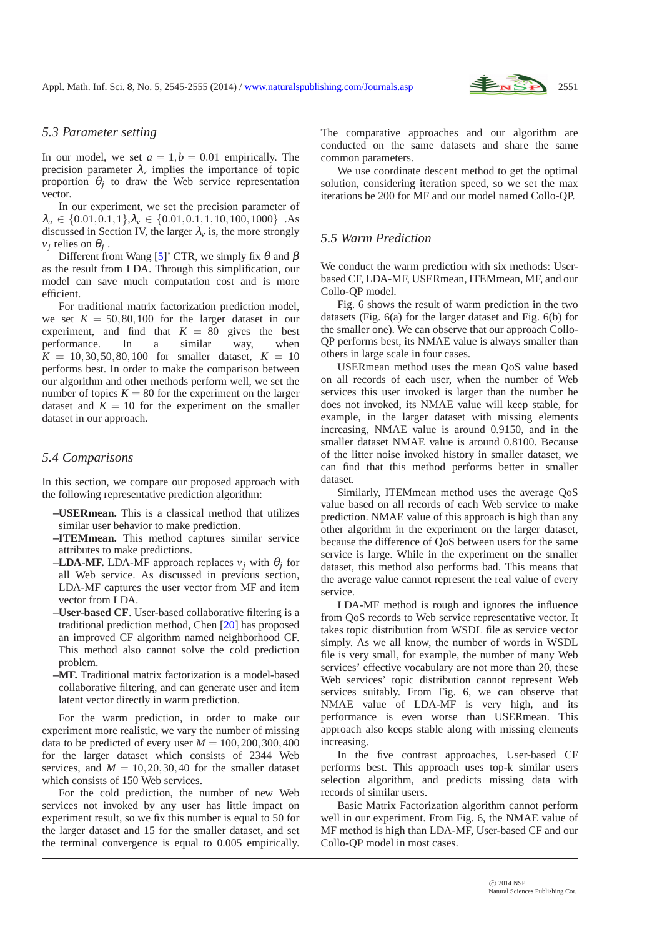

# *5.3 Parameter setting*

In our model, we set  $a = 1, b = 0.01$  empirically. The precision parameter  $\lambda$ <sup>*v*</sup> implies the importance of topic proportion  $\theta_j$  to draw the Web service representation vector.

In our experiment, we set the precision parameter of  $\lambda_u \in \{0.01, 0.1, 1\}, \lambda_v \in \{0.01, 0.1, 1, 10, 100, 1000\}$ . As discussed in Section IV, the larger  $\lambda$ <sup>v</sup> is, the more strongly  $v_j$  relies on  $\theta_j$ .

Different from Wang [\[5\]](#page-9-4)' CTR, we simply fix  $\theta$  and  $\beta$ as the result from LDA. Through this simplification, our model can save much computation cost and is more efficient.

For traditional matrix factorization prediction model, we set  $K = 50,80,100$  for the larger dataset in our experiment, and find that  $K = 80$  gives the best performance. In a similar way, when  $K = 10,30,50,80,100$  for smaller dataset,  $K = 10$ performs best. In order to make the comparison between our algorithm and other methods perform well, we set the number of topics  $K = 80$  for the experiment on the larger dataset and  $K = 10$  for the experiment on the smaller dataset in our approach.

# *5.4 Comparisons*

In this section, we compare our proposed approach with the following representative prediction algorithm:

- **–USERmean.** This is a classical method that utilizes similar user behavior to make prediction.
- **–ITEMmean.** This method captures similar service attributes to make predictions.
- **–LDA-MF.** LDA-MF approach replaces  $v_j$  with  $\theta_j$  for all Web service. As discussed in previous section, LDA-MF captures the user vector from MF and item vector from LDA.
- **–User-based CF**. User-based collaborative filtering is a traditional prediction method, Chen [\[20\]](#page-9-19) has proposed an improved CF algorithm named neighborhood CF. This method also cannot solve the cold prediction problem.
- **–MF.** Traditional matrix factorization is a model-based collaborative filtering, and can generate user and item latent vector directly in warm prediction.

For the warm prediction, in order to make our experiment more realistic, we vary the number of missing data to be predicted of every user  $M = 100, 200, 300, 400$ for the larger dataset which consists of 2344 Web services, and  $M = 10, 20, 30, 40$  for the smaller dataset which consists of 150 Web services.

For the cold prediction, the number of new Web services not invoked by any user has little impact on experiment result, so we fix this number is equal to 50 for the larger dataset and 15 for the smaller dataset, and set the terminal convergence is equal to 0.005 empirically.

The comparative approaches and our algorithm are conducted on the same datasets and share the same common parameters.

We use coordinate descent method to get the optimal solution, considering iteration speed, so we set the max iterations be 200 for MF and our model named Collo-QP.

# *5.5 Warm Prediction*

We conduct the warm prediction with six methods: Userbased CF, LDA-MF, USERmean, ITEMmean, MF, and our Collo-QP model.

Fig. 6 shows the result of warm prediction in the two datasets (Fig. 6(a) for the larger dataset and Fig. 6(b) for the smaller one). We can observe that our approach Collo-QP performs best, its NMAE value is always smaller than others in large scale in four cases.

USERmean method uses the mean QoS value based on all records of each user, when the number of Web services this user invoked is larger than the number he does not invoked, its NMAE value will keep stable, for example, in the larger dataset with missing elements increasing, NMAE value is around 0.9150, and in the smaller dataset NMAE value is around 0.8100. Because of the litter noise invoked history in smaller dataset, we can find that this method performs better in smaller dataset.

Similarly, ITEMmean method uses the average QoS value based on all records of each Web service to make prediction. NMAE value of this approach is high than any other algorithm in the experiment on the larger dataset, because the difference of QoS between users for the same service is large. While in the experiment on the smaller dataset, this method also performs bad. This means that the average value cannot represent the real value of every service.

LDA-MF method is rough and ignores the influence from QoS records to Web service representative vector. It takes topic distribution from WSDL file as service vector simply. As we all know, the number of words in WSDL file is very small, for example, the number of many Web services' effective vocabulary are not more than 20, these Web services' topic distribution cannot represent Web services suitably. From Fig. 6, we can observe that NMAE value of LDA-MF is very high, and its performance is even worse than USERmean. This approach also keeps stable along with missing elements increasing.

In the five contrast approaches, User-based CF performs best. This approach uses top-k similar users selection algorithm, and predicts missing data with records of similar users.

Basic Matrix Factorization algorithm cannot perform well in our experiment. From Fig. 6, the NMAE value of MF method is high than LDA-MF, User-based CF and our Collo-QP model in most cases.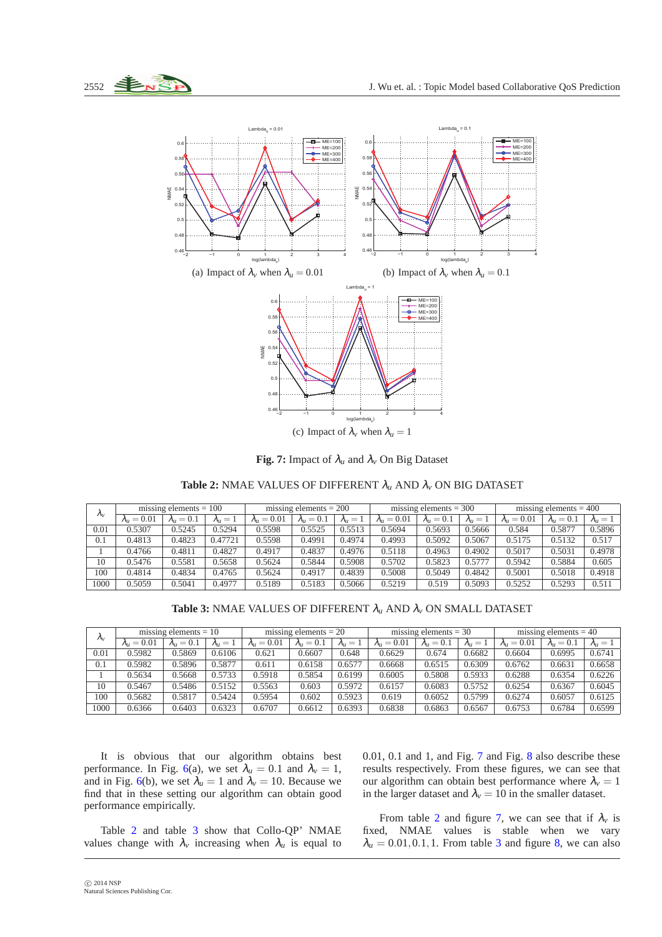<span id="page-7-2"></span>

**Fig. 7:** Impact of  $\lambda_u$  and  $\lambda_v$  On Big Dataset

| <b>Table 2:</b> NMAE VALUES OF DIFFERENT $\lambda_u$ AND $\lambda_v$ ON BIG DATASET |  |
|-------------------------------------------------------------------------------------|--|
|-------------------------------------------------------------------------------------|--|

<span id="page-7-0"></span>

|               |                    | missing elements $= 100$ |                            |                    | missing elements $= 200$ |               | missing elements $=$ 300 |                   | missing elements $= 400$ |                                |                   |               |
|---------------|--------------------|--------------------------|----------------------------|--------------------|--------------------------|---------------|--------------------------|-------------------|--------------------------|--------------------------------|-------------------|---------------|
| $\Lambda_{V}$ | $\lambda_u = 0.01$ | $\lambda_u = 0.1$        | $=1$<br>$\mathcal{N}_{11}$ | $\lambda_u = 0.01$ | $\lambda_u = 0.1$        | $\lambda_u=1$ | $\lambda_u = 0.01$       | $\lambda_u = 0.1$ | $\lambda_u=1$            | $= 0.01$<br>$\mathcal{N}_{11}$ | $\lambda_u = 0.1$ | $\lambda_u=1$ |
| 0.01          | 0.5307             | 0.5245                   | 0.5294                     | 0.5598             | 0.5525                   | 0.5513        | 0.5694                   | 0.5693            | 0.5666                   | 0.584                          | 0.5877            | 0.5896        |
| 0.1           | 0.4813             | 0.4823                   | 0.47721                    | 0.5598             | 0.4991                   | 0.4974        | 0.4993                   | 0.5092            | 0.5067                   | 0.5175                         | 0.5132            | 0.517         |
|               | 0.4766             | 0.4811                   | 0.4827                     | 0.4917             | 0.4837                   | 0.4976        | 0.5118                   | 0.4963            | 0.4902                   | 0.5017                         | 0.5031            | 0.4978        |
| 10            | 0.5476             | 0.5581                   | 0.5658                     | 0.5624             | 0.5844                   | 0.5908        | 0.5702                   | 0.5823            | 0.5777                   | 0.5942                         | 0.5884            | 0.605         |
| 100           | 0.4814             | 0.4834                   | 0.4765                     | 0.5624             | 0.4917                   | 0.4839        | 0.5008                   | 0.5049            | 0.4842                   | 0.5001                         | 0.5018            | 0.4918        |
| 1000          | 0.5059             | 0.5041                   | 0.4977                     | 0.5189             | 0.5183                   | 0.5066        | 0.5219                   | 0.519             | 0.5093                   | 0.5252                         | 0.5293            | 0.511         |

**Table 3:** NMAE VALUES OF DIFFERENT <sup>λ</sup>*<sup>u</sup>* AND <sup>λ</sup>*<sup>v</sup>* ON SMALL DATASET

<span id="page-7-1"></span>

|               | missing elements $= 10$ |                               |                                     | missing elements $= 20$        |                   |               | missing elements $=$ 30 |                   |                 | missing elements $=$ 40 |                   |               |
|---------------|-------------------------|-------------------------------|-------------------------------------|--------------------------------|-------------------|---------------|-------------------------|-------------------|-----------------|-------------------------|-------------------|---------------|
| $\Lambda_{V}$ | $\lambda_u = 0.01$      | $= 0.1$<br>$\mathcal{N}_{11}$ | $=1$<br>$\mathcal{N}_{\mathcal{U}}$ | $= 0.01$<br>$\mathcal{N}_{11}$ | $\lambda_u = 0.1$ | $\lambda_u=1$ | $\lambda_u = 0.01$      | $\lambda_u = 0.1$ | $\lambda_u = 1$ | $\lambda_u = 0.01$      | $\lambda_u = 0.1$ | $\lambda_u=1$ |
| 0.01          | 0.5982                  | 0.5869                        | 0.6106                              | 0.621                          | 0.6607            | 0.648         | 0.6629                  | 0.674             | 0.6682          | 0.6604                  | 0.6995            | 0.6741        |
| 0.1           | 0.5982                  | 0.5896                        | 0.5877                              | 0.611                          | 0.6158            | 0.6577        | 0.6668                  | 0.6515            | 0.6309          | 0.6762                  | 0.6631            | 0.6658        |
|               | 0.5634                  | 0.5668                        | 0.5733                              | 0.5918                         | 0.5854            | 0.6199        | 0.6005                  | 0.5808            | 0.5933          | 0.6288                  | 0.6354            | 0.6226        |
| 10            | 0.5467                  | 0.5486                        | 0.5152                              | 0.5563                         | 0.603             | 0.5972        | 0.6157                  | 0.6083            | 0.5752          | 0.6254                  | 0.6367            | 0.6045        |
| 100           | 0.5682                  | 0.5817                        | 0.5424                              | 0.5954                         | 0.602             | 0.5923        | 0.619                   | 0.6052            | 0.5799          | 0.6274                  | 0.6057            | 0.6125        |
| 1000          | 0.6366                  | 0.6403                        | 0.6323                              | 0.6707                         | 0.6612            | 0.6393        | 0.6838                  | 0.6863            | 0.6567          | 0.6753                  | 0.6784            | 0.6599        |

It is obvious that our algorithm obtains best performance. In Fig. [6\(](#page-5-0)a), we set  $\lambda_u = 0.1$  and  $\lambda_v = 1$ , and in Fig. [6\(](#page-5-0)b), we set  $\lambda_u = 1$  and  $\lambda_v = 10$ . Because we find that in these setting our algorithm can obtain good performance empirically.

0.01, 0.1 and 1, and Fig. [7](#page-7-2) and Fig. [8](#page-8-0) also describe these results respectively. From these figures, we can see that our algorithm can obtain best performance where  $\lambda_v = 1$ in the larger dataset and  $\lambda$ <sup>*v*</sup> = 10 in the smaller dataset.

Table [2](#page-7-0) and table [3](#page-7-1) show that Collo-QP' NMAE values change with  $\lambda_{\nu}$  increasing when  $\lambda_{\mu}$  is equal to

From table [2](#page-7-0) and figure [7,](#page-7-2) we can see that if  $\lambda$ <sup>*v*</sup> is fixed, NMAE values is stable when we vary  $\lambda_u = 0.01, 0.1, 1$ . From table [3](#page-7-1) and figure [8,](#page-8-0) we can also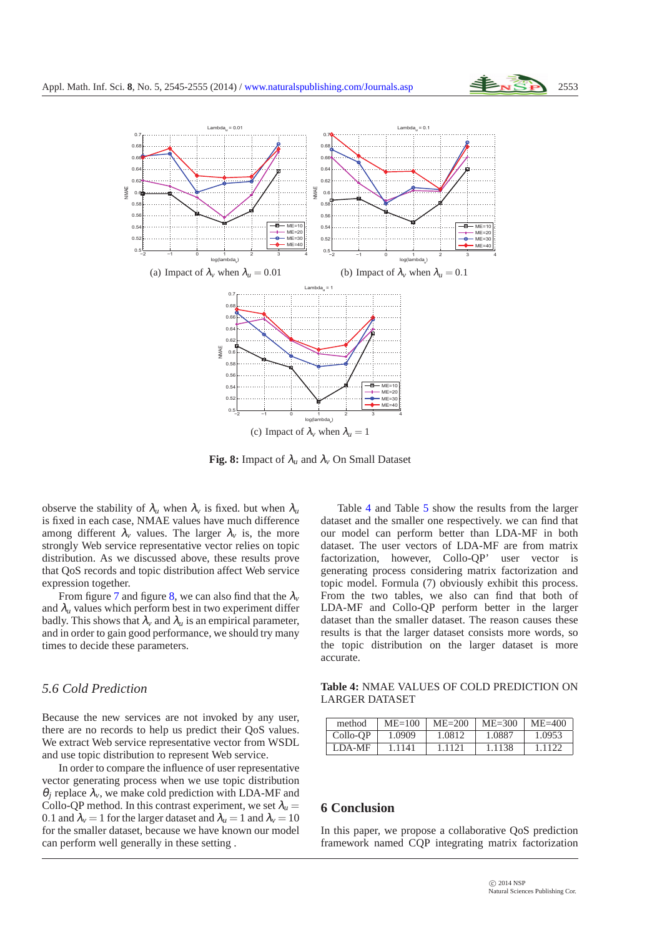

<span id="page-8-0"></span>

**Fig. 8:** Impact of  $\lambda_u$  and  $\lambda_v$  On Small Dataset

observe the stability of  $\lambda_u$  when  $\lambda_v$  is fixed. but when  $\lambda_u$ is fixed in each case, NMAE values have much difference among different  $\lambda$ <sup>*v*</sup> values. The larger  $\lambda$ <sup>*v*</sup> is, the more strongly Web service representative vector relies on topic distribution. As we discussed above, these results prove that QoS records and topic distribution affect Web service expression together.

From figure [7](#page-7-2) and figure [8,](#page-8-0) we can also find that the  $\lambda$ <sup>v</sup> and  $\lambda_u$  values which perform best in two experiment differ badly. This shows that  $\lambda_v$  and  $\lambda_u$  is an empirical parameter, and in order to gain good performance, we should try many times to decide these parameters.

# *5.6 Cold Prediction*

Because the new services are not invoked by any user, there are no records to help us predict their QoS values. We extract Web service representative vector from WSDL and use topic distribution to represent Web service.

In order to compare the influence of user representative vector generating process when we use topic distribution  $\theta_i$  replace  $\lambda_v$ , we make cold prediction with LDA-MF and Collo-QP method. In this contrast experiment, we set  $\lambda_u$  = 0.1 and  $\lambda_v = 1$  for the larger dataset and  $\lambda_u = 1$  and  $\lambda_v = 10$ for the smaller dataset, because we have known our model can perform well generally in these setting .

Table [4](#page-8-1) and Table [5](#page-9-23) show the results from the larger dataset and the smaller one respectively. we can find that our model can perform better than LDA-MF in both dataset. The user vectors of LDA-MF are from matrix factorization, however, Collo-QP' user vector is generating process considering matrix factorization and topic model. Formula (7) obviously exhibit this process. From the two tables, we also can find that both of LDA-MF and Collo-QP perform better in the larger dataset than the smaller dataset. The reason causes these results is that the larger dataset consists more words, so the topic distribution on the larger dataset is more accurate.

## <span id="page-8-1"></span>**Table 4:** NMAE VALUES OF COLD PREDICTION ON LARGER DATASET

| method   | $ME = 100$ | $ME = 200$ | $ME = 300$ | $ME = 400$ |
|----------|------------|------------|------------|------------|
| Collo-OP | 1.0909     | 1.0812     | 1.0887     | 1.0953     |
| LDA-MF   | 1 1 1 4 1  | 1 1 1 2 1  | 1.1138     | 1 1 1 2 2  |

## **6 Conclusion**

In this paper, we propose a collaborative QoS prediction framework named CQP integrating matrix factorization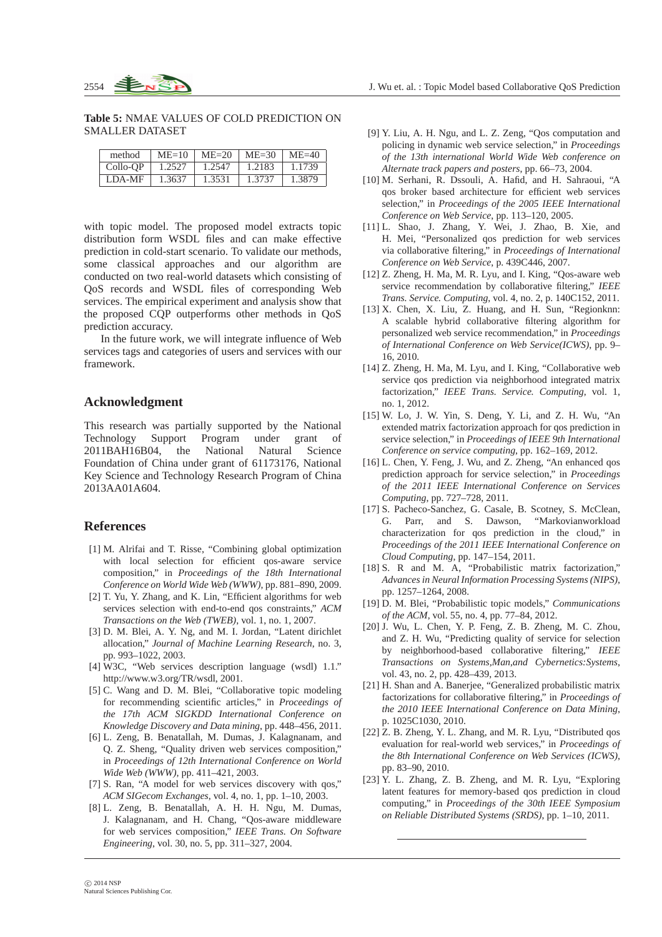

#### <span id="page-9-23"></span>**Table 5:** NMAE VALUES OF COLD PREDICTION ON SMALLER DATASET

| method   | $ME=10$ | $ME = 20$ | $ME = 30$ | $ME = 40$ |
|----------|---------|-----------|-----------|-----------|
| Collo-OP | 1.2527  | 1.2547    | 1.2183    | 1.1739    |
| LDA-MF   | 1.3637  | 1.3531    | 1.3737    | 1.3879    |

with topic model. The proposed model extracts topic distribution form WSDL files and can make effective prediction in cold-start scenario. To validate our methods, some classical approaches and our algorithm are conducted on two real-world datasets which consisting of QoS records and WSDL files of corresponding Web services. The empirical experiment and analysis show that the proposed CQP outperforms other methods in QoS prediction accuracy.

In the future work, we will integrate influence of Web services tags and categories of users and services with our framework.

#### **Acknowledgment**

This research was partially supported by the National Technology Support Program under grant of 2011BAH16B04, the National Natural Science 2011BAH16B04, the National Natural Science Foundation of China under grant of 61173176, National Key Science and Technology Research Program of China 2013AA01A604.

## <span id="page-9-0"></span>**References**

- [1] M. Alrifai and T. Risse, "Combining global optimization with local selection for efficient qos-aware service composition," in *Proceedings of the 18th International Conference on World Wide Web (WWW)*, pp. 881–890, 2009.
- <span id="page-9-1"></span>[2] T. Yu, Y. Zhang, and K. Lin, "Efficient algorithms for web services selection with end-to-end qos constraints," *ACM Transactions on the Web (TWEB)*, vol. 1, no. 1, 2007.
- <span id="page-9-2"></span>[3] D. M. Blei, A. Y. Ng, and M. I. Jordan, "Latent dirichlet allocation," *Journal of Machine Learning Research*, no. 3, pp. 993–1022, 2003.
- <span id="page-9-3"></span>[4] W3C, "Web services description language (wsdl) 1.1." http://www.w3.org/TR/wsdl, 2001.
- <span id="page-9-4"></span>[5] C. Wang and D. M. Blei, "Collaborative topic modeling for recommending scientific articles," in *Proceedings of the 17th ACM SIGKDD International Conference on Knowledge Discovery and Data mining*, pp. 448–456, 2011.
- <span id="page-9-5"></span>[6] L. Zeng, B. Benatallah, M. Dumas, J. Kalagnanam, and Q. Z. Sheng, "Quality driven web services composition," in *Proceedings of 12th International Conference on World Wide Web (WWW)*, pp. 411–421, 2003.
- <span id="page-9-6"></span>[7] S. Ran, "A model for web services discovery with qos," *ACM SIGecom Exchanges*, vol. 4, no. 1, pp. 1–10, 2003.
- <span id="page-9-7"></span>[8] L. Zeng, B. Benatallah, A. H. H. Ngu, M. Dumas, J. Kalagnanam, and H. Chang, "Qos-aware middleware for web services composition," *IEEE Trans. On Software Engineering*, vol. 30, no. 5, pp. 311–327, 2004.
- <span id="page-9-8"></span>[9] Y. Liu, A. H. Ngu, and L. Z. Zeng, "Qos computation and policing in dynamic web service selection," in *Proceedings of the 13th international World Wide Web conference on Alternate track papers and posters*, pp. 66–73, 2004.
- <span id="page-9-9"></span>[10] M. Serhani, R. Dssouli, A. Hafid, and H. Sahraoui, "A qos broker based architecture for efficient web services selection," in *Proceedings of the 2005 IEEE International Conference on Web Service*, pp. 113–120, 2005.
- <span id="page-9-10"></span>[11] L. Shao, J. Zhang, Y. Wei, J. Zhao, B. Xie, and H. Mei, "Personalized qos prediction for web services via collaborative filtering," in *Proceedings of International Conference on Web Service*, p. 439C446, 2007.
- <span id="page-9-11"></span>[12] Z. Zheng, H. Ma, M. R. Lyu, and I. King, "Qos-aware web service recommendation by collaborative filtering," *IEEE Trans. Service. Computing*, vol. 4, no. 2, p. 140C152, 2011.
- <span id="page-9-12"></span>[13] X. Chen, X. Liu, Z. Huang, and H. Sun, "Regionknn: A scalable hybrid collaborative filtering algorithm for personalized web service recommendation," in *Proceedings of International Conference on Web Service(ICWS)*, pp. 9– 16, 2010.
- <span id="page-9-13"></span>[14] Z. Zheng, H. Ma, M. Lyu, and I. King, "Collaborative web service qos prediction via neighborhood integrated matrix factorization," *IEEE Trans. Service. Computing*, vol. 1, no. 1, 2012.
- <span id="page-9-14"></span>[15] W. Lo, J. W. Yin, S. Deng, Y. Li, and Z. H. Wu, "An extended matrix factorization approach for qos prediction in service selection," in *Proceedings of IEEE 9th International Conference on service computing*, pp. 162–169, 2012.
- <span id="page-9-15"></span>[16] L. Chen, Y. Feng, J. Wu, and Z. Zheng, "An enhanced gos prediction approach for service selection," in *Proceedings of the 2011 IEEE International Conference on Services Computing*, pp. 727–728, 2011.
- <span id="page-9-16"></span>[17] S. Pacheco-Sanchez, G. Casale, B. Scotney, S. McClean, G. Parr, and S. Dawson, "Markovianworkload characterization for qos prediction in the cloud," in *Proceedings of the 2011 IEEE International Conference on Cloud Computing*, pp. 147–154, 2011.
- <span id="page-9-17"></span>[18] S. R and M. A, "Probabilistic matrix factorization," *Advances in Neural Information Processing Systems (NIPS)*, pp. 1257–1264, 2008.
- <span id="page-9-18"></span>[19] D. M. Blei, "Probabilistic topic models," *Communications of the ACM*, vol. 55, no. 4, pp. 77–84, 2012.
- <span id="page-9-19"></span>[20] J. Wu, L. Chen, Y. P. Feng, Z. B. Zheng, M. C. Zhou, and Z. H. Wu, "Predicting quality of service for selection by neighborhood-based collaborative filtering," *IEEE Transactions on Systems,Man,and Cybernetics:Systems*, vol. 43, no. 2, pp. 428–439, 2013.
- <span id="page-9-20"></span>[21] H. Shan and A. Banerjee, "Generalized probabilistic matrix factorizations for collaborative filtering," in *Proceedings of the 2010 IEEE International Conference on Data Mining*, p. 1025C1030, 2010.
- <span id="page-9-21"></span>[22] Z. B. Zheng, Y. L. Zhang, and M. R. Lyu, "Distributed qos evaluation for real-world web services," in *Proceedings of the 8th International Conference on Web Services (ICWS)*, pp. 83–90, 2010.
- <span id="page-9-22"></span>[23] Y. L. Zhang, Z. B. Zheng, and M. R. Lyu, "Exploring latent features for memory-based qos prediction in cloud computing," in *Proceedings of the 30th IEEE Symposium on Reliable Distributed Systems (SRDS)*, pp. 1–10, 2011.